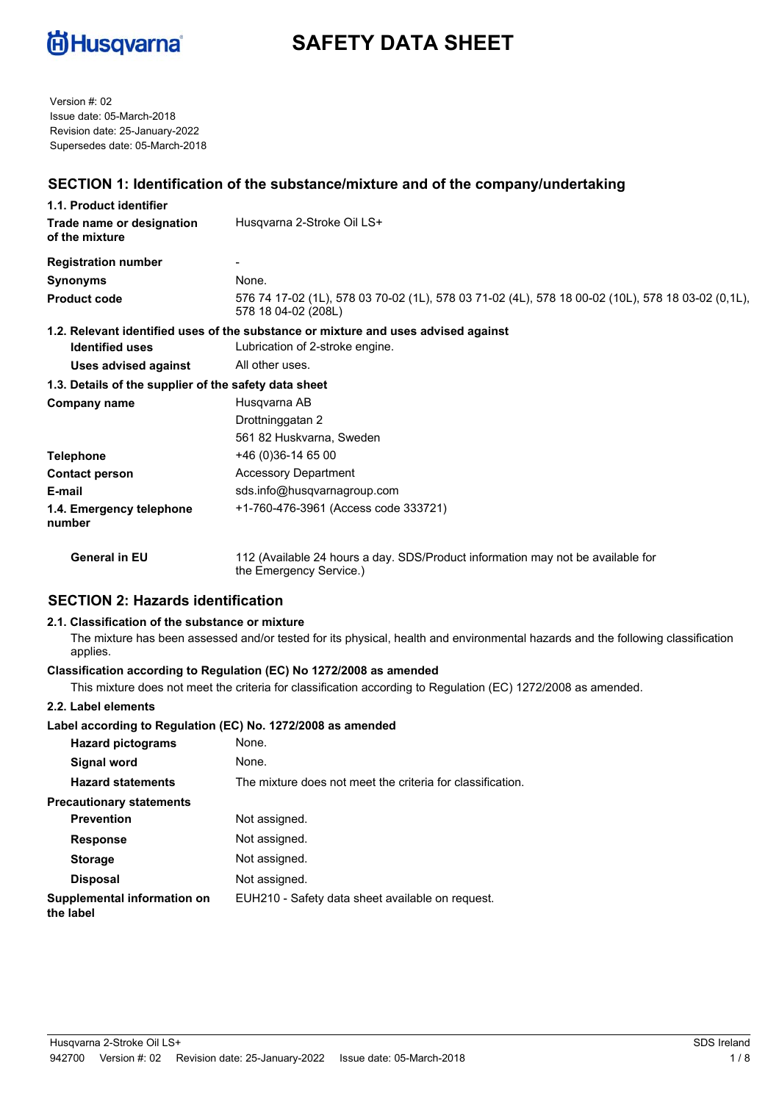

# **SAFETY DATA SHEET**

Version #: 02 Issue date: 05-March-2018 Revision date: 25-January-2022 Supersedes date: 05-March-2018

## **SECTION 1: Identification of the substance/mixture and of the company/undertaking**

| 1.1. Product identifier                               |                                                                                                                          |  |  |
|-------------------------------------------------------|--------------------------------------------------------------------------------------------------------------------------|--|--|
| Trade name or designation<br>of the mixture           | Husqvarna 2-Stroke Oil LS+                                                                                               |  |  |
| <b>Registration number</b>                            |                                                                                                                          |  |  |
| Synonyms                                              | None.                                                                                                                    |  |  |
| <b>Product code</b>                                   | 576 74 17-02 (1L), 578 03 70-02 (1L), 578 03 71-02 (4L), 578 18 00-02 (10L), 578 18 03-02 (0,1L),<br>578 18 04-02 (208L) |  |  |
| <b>Identified uses</b>                                | 1.2. Relevant identified uses of the substance or mixture and uses advised against<br>Lubrication of 2-stroke engine.    |  |  |
| <b>Uses advised against</b>                           | All other uses.                                                                                                          |  |  |
| 1.3. Details of the supplier of the safety data sheet |                                                                                                                          |  |  |
| Company name                                          | Husqvarna AB                                                                                                             |  |  |
|                                                       | Drottninggatan 2                                                                                                         |  |  |
|                                                       | 561 82 Huskvarna, Sweden                                                                                                 |  |  |
| Telephone                                             | +46 (0)36-14 65 00                                                                                                       |  |  |
| <b>Contact person</b>                                 | <b>Accessory Department</b>                                                                                              |  |  |
| E-mail                                                | sds.info@husqvarnagroup.com                                                                                              |  |  |
| 1.4. Emergency telephone<br>number                    | +1-760-476-3961 (Access code 333721)                                                                                     |  |  |
| <b>General in EU</b>                                  | 112 (Available 24 hours a day. SDS/Product information may not be available for<br>the Emergency Service.)               |  |  |

### **SECTION 2: Hazards identification**

### **2.1. Classification of the substance or mixture**

The mixture has been assessed and/or tested for its physical, health and environmental hazards and the following classification applies.

### **Classification according to Regulation (EC) No 1272/2008 as amended**

This mixture does not meet the criteria for classification according to Regulation (EC) 1272/2008 as amended.

#### **2.2. Label elements**

### **Label according to Regulation (EC) No. 1272/2008 as amended**

| <b>Hazard pictograms</b>                 | None.                                                      |
|------------------------------------------|------------------------------------------------------------|
| Signal word                              | None.                                                      |
| <b>Hazard statements</b>                 | The mixture does not meet the criteria for classification. |
| <b>Precautionary statements</b>          |                                                            |
| <b>Prevention</b>                        | Not assigned.                                              |
| <b>Response</b>                          | Not assigned.                                              |
| <b>Storage</b>                           | Not assigned.                                              |
| <b>Disposal</b>                          | Not assigned.                                              |
| Supplemental information on<br>the label | EUH210 - Safety data sheet available on request.           |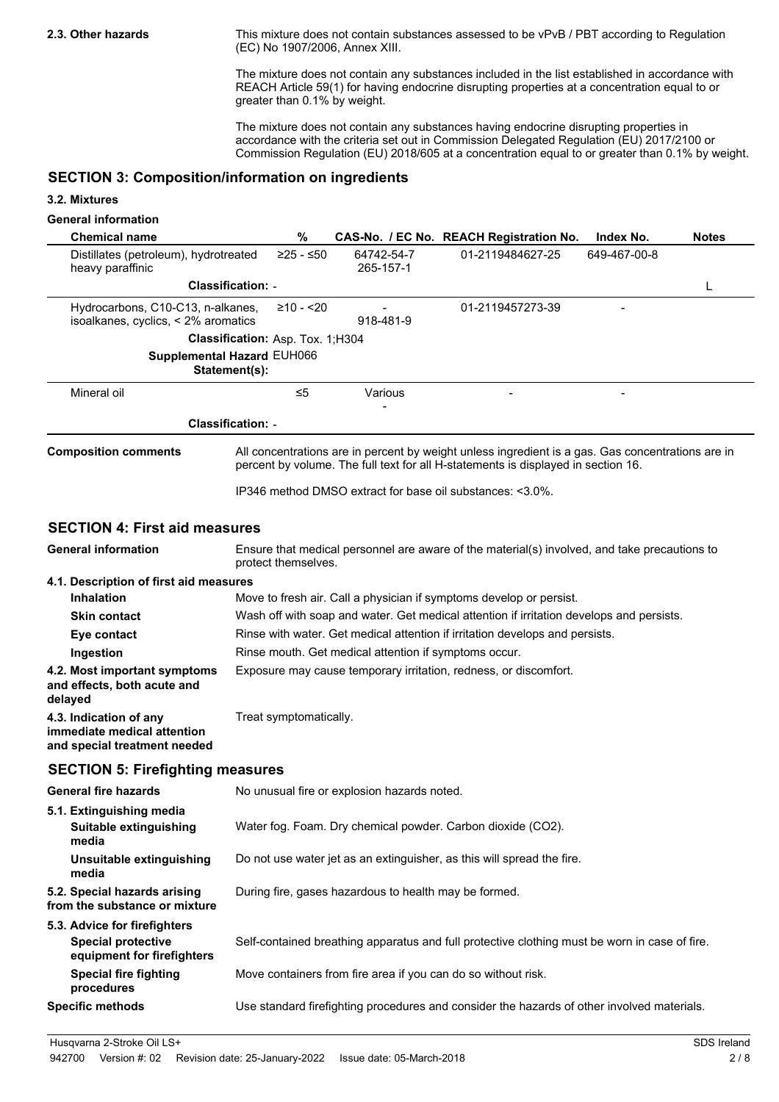**2.3. Other hazards**

This mixture does not contain substances assessed to be vPvB / PBT according to Regulation (EC) No 1907/2006, Annex XIII.

The mixture does not contain any substances included in the list established in accordance with REACH Article 59(1) for having endocrine disrupting properties at a concentration equal to or greater than 0.1% by weight.

The mixture does not contain any substances having endocrine disrupting properties in accordance with the criteria set out in Commission Delegated Regulation (EU) 2017/2100 or Commission Regulation (EU) 2018/605 at a concentration equal to or greater than 0.1% by weight.

## **SECTION 3: Composition/information on ingredients**

### **3.2. Mixtures**

### **General information**

| <b>Chemical name</b>                                                                    | $\%$                                                                         |                                                               | CAS-No. / EC No. REACH Registration No.                                                                                                                                                | Index No.    | <b>Notes</b> |
|-----------------------------------------------------------------------------------------|------------------------------------------------------------------------------|---------------------------------------------------------------|----------------------------------------------------------------------------------------------------------------------------------------------------------------------------------------|--------------|--------------|
| Distillates (petroleum), hydrotreated<br>heavy paraffinic                               | ≥25 - ≤50                                                                    | 64742-54-7<br>265-157-1                                       | 01-2119484627-25                                                                                                                                                                       | 649-467-00-8 |              |
|                                                                                         | <b>Classification: -</b>                                                     |                                                               |                                                                                                                                                                                        |              | L            |
| Hydrocarbons, C10-C13, n-alkanes,<br>isoalkanes, cyclics, < 2% aromatics                | $≥10 - 20$                                                                   | 918-481-9                                                     | 01-2119457273-39                                                                                                                                                                       |              |              |
|                                                                                         | Classification: Asp. Tox. 1;H304                                             |                                                               |                                                                                                                                                                                        |              |              |
|                                                                                         | Supplemental Hazard EUH066<br>Statement(s):                                  |                                                               |                                                                                                                                                                                        |              |              |
| Mineral oil                                                                             | $\leq 5$                                                                     | Various                                                       |                                                                                                                                                                                        |              |              |
| <b>Classification: -</b>                                                                |                                                                              |                                                               |                                                                                                                                                                                        |              |              |
| <b>Composition comments</b>                                                             |                                                                              |                                                               | All concentrations are in percent by weight unless ingredient is a gas. Gas concentrations are in<br>percent by volume. The full text for all H-statements is displayed in section 16. |              |              |
|                                                                                         |                                                                              | IP346 method DMSO extract for base oil substances: <3.0%.     |                                                                                                                                                                                        |              |              |
| <b>SECTION 4: First aid measures</b>                                                    |                                                                              |                                                               |                                                                                                                                                                                        |              |              |
| <b>General information</b>                                                              | protect themselves.                                                          |                                                               | Ensure that medical personnel are aware of the material(s) involved, and take precautions to                                                                                           |              |              |
| 4.1. Description of first aid measures                                                  |                                                                              |                                                               |                                                                                                                                                                                        |              |              |
| <b>Inhalation</b>                                                                       |                                                                              |                                                               | Move to fresh air. Call a physician if symptoms develop or persist.                                                                                                                    |              |              |
| <b>Skin contact</b>                                                                     |                                                                              |                                                               | Wash off with soap and water. Get medical attention if irritation develops and persists.                                                                                               |              |              |
| Eye contact                                                                             | Rinse with water. Get medical attention if irritation develops and persists. |                                                               |                                                                                                                                                                                        |              |              |
| Ingestion                                                                               | Rinse mouth. Get medical attention if symptoms occur.                        |                                                               |                                                                                                                                                                                        |              |              |
| 4.2. Most important symptoms<br>and effects, both acute and<br>delayed                  | Exposure may cause temporary irritation, redness, or discomfort.             |                                                               |                                                                                                                                                                                        |              |              |
| 4.3. Indication of any<br>immediate medical attention<br>and special treatment needed   | Treat symptomatically.                                                       |                                                               |                                                                                                                                                                                        |              |              |
| <b>SECTION 5: Firefighting measures</b>                                                 |                                                                              |                                                               |                                                                                                                                                                                        |              |              |
| <b>General fire hazards</b>                                                             |                                                                              | No unusual fire or explosion hazards noted.                   |                                                                                                                                                                                        |              |              |
| 5.1. Extinguishing media<br>Suitable extinguishing<br>media                             |                                                                              |                                                               | Water fog. Foam. Dry chemical powder. Carbon dioxide (CO2).                                                                                                                            |              |              |
| Unsuitable extinguishing<br>media                                                       |                                                                              |                                                               | Do not use water jet as an extinguisher, as this will spread the fire.                                                                                                                 |              |              |
| 5.2. Special hazards arising<br>from the substance or mixture                           |                                                                              | During fire, gases hazardous to health may be formed.         |                                                                                                                                                                                        |              |              |
| 5.3. Advice for firefighters<br><b>Special protective</b><br>equipment for firefighters |                                                                              |                                                               | Self-contained breathing apparatus and full protective clothing must be worn in case of fire.                                                                                          |              |              |
| <b>Special fire fighting</b><br>procedures                                              |                                                                              | Move containers from fire area if you can do so without risk. |                                                                                                                                                                                        |              |              |
| <b>Specific methods</b>                                                                 |                                                                              |                                                               | Use standard firefighting procedures and consider the hazards of other involved materials.                                                                                             |              |              |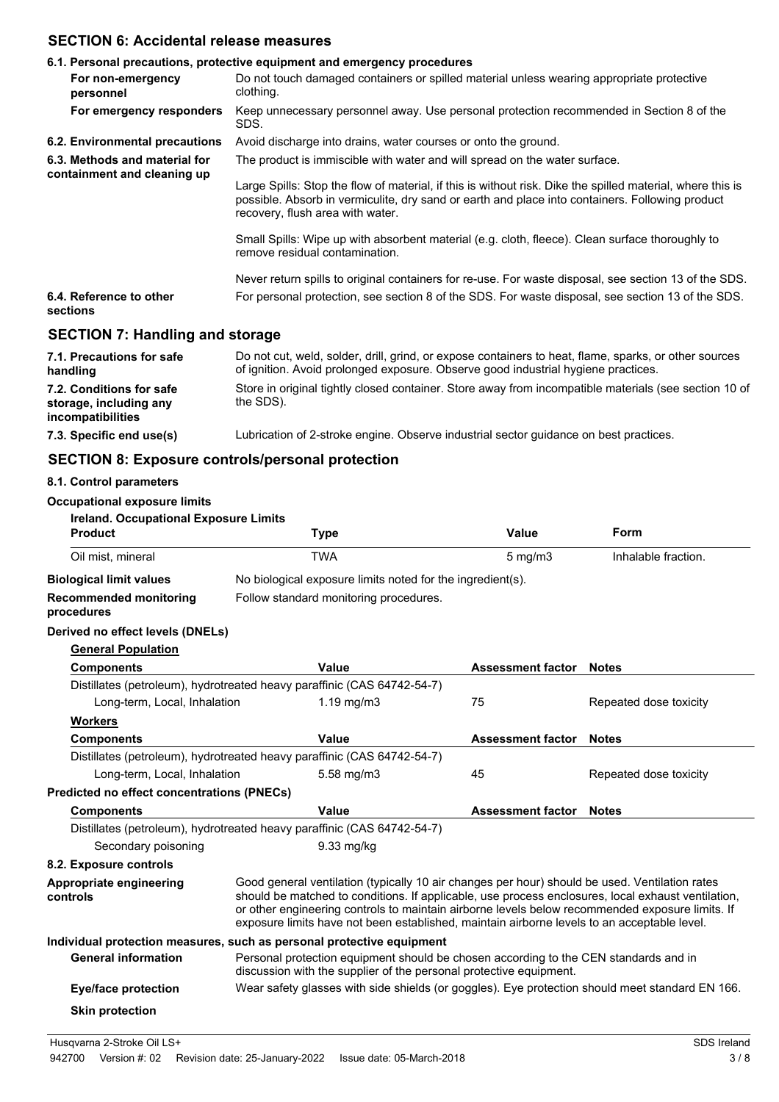## **SECTION 6: Accidental release measures**

|                                                                                | 6.1. Personal precautions, protective equipment and emergency procedures                                                                                                                                                                          |
|--------------------------------------------------------------------------------|---------------------------------------------------------------------------------------------------------------------------------------------------------------------------------------------------------------------------------------------------|
| For non-emergency<br>personnel                                                 | Do not touch damaged containers or spilled material unless wearing appropriate protective<br>clothing.                                                                                                                                            |
| For emergency responders                                                       | Keep unnecessary personnel away. Use personal protection recommended in Section 8 of the<br>SDS.                                                                                                                                                  |
| 6.2. Environmental precautions                                                 | Avoid discharge into drains, water courses or onto the ground.                                                                                                                                                                                    |
| 6.3. Methods and material for<br>containment and cleaning up                   | The product is immiscible with water and will spread on the water surface.                                                                                                                                                                        |
|                                                                                | Large Spills: Stop the flow of material, if this is without risk. Dike the spilled material, where this is<br>possible. Absorb in vermiculite, dry sand or earth and place into containers. Following product<br>recovery, flush area with water. |
|                                                                                | Small Spills: Wipe up with absorbent material (e.g. cloth, fleece). Clean surface thoroughly to<br>remove residual contamination.                                                                                                                 |
|                                                                                | Never return spills to original containers for re-use. For waste disposal, see section 13 of the SDS.                                                                                                                                             |
| 6.4. Reference to other<br>sections                                            | For personal protection, see section 8 of the SDS. For waste disposal, see section 13 of the SDS.                                                                                                                                                 |
| <b>SECTION 7: Handling and storage</b>                                         |                                                                                                                                                                                                                                                   |
| 7.1. Precautions for safe<br>handling                                          | Do not cut, weld, solder, drill, grind, or expose containers to heat, flame, sparks, or other sources<br>of ignition. Avoid prolonged exposure. Observe good industrial hygiene practices.                                                        |
| 7.2. Conditions for safe<br>storage, including any<br><i>incompatibilities</i> | Store in original tightly closed container. Store away from incompatible materials (see section 10 of<br>the SDS).                                                                                                                                |

**7.3. Specific end use(s)** Lubrication of 2-stroke engine. Observe industrial sector guidance on best practices.

## **SECTION 8: Exposure controls/personal protection**

## **8.1. Control parameters**

## **Occupational exposure limits**

| Ireland. Occupational Exposure Limits       |                                                                                                                                                                                                                                                                                                                                                                                                        |                          |                        |
|---------------------------------------------|--------------------------------------------------------------------------------------------------------------------------------------------------------------------------------------------------------------------------------------------------------------------------------------------------------------------------------------------------------------------------------------------------------|--------------------------|------------------------|
| <b>Product</b>                              | <b>Type</b>                                                                                                                                                                                                                                                                                                                                                                                            | <b>Value</b>             | Form                   |
| Oil mist, mineral                           | <b>TWA</b>                                                                                                                                                                                                                                                                                                                                                                                             | $5$ mg/m $3$             | Inhalable fraction.    |
| <b>Biological limit values</b>              | No biological exposure limits noted for the ingredient(s).                                                                                                                                                                                                                                                                                                                                             |                          |                        |
| <b>Recommended monitoring</b><br>procedures | Follow standard monitoring procedures.                                                                                                                                                                                                                                                                                                                                                                 |                          |                        |
| Derived no effect levels (DNELs)            |                                                                                                                                                                                                                                                                                                                                                                                                        |                          |                        |
| <b>General Population</b>                   |                                                                                                                                                                                                                                                                                                                                                                                                        |                          |                        |
| <b>Components</b>                           | Value                                                                                                                                                                                                                                                                                                                                                                                                  | <b>Assessment factor</b> | <b>Notes</b>           |
|                                             | Distillates (petroleum), hydrotreated heavy paraffinic (CAS 64742-54-7)                                                                                                                                                                                                                                                                                                                                |                          |                        |
| Long-term, Local, Inhalation                | $1.19$ mg/m $3$                                                                                                                                                                                                                                                                                                                                                                                        | 75                       | Repeated dose toxicity |
| <b>Workers</b>                              |                                                                                                                                                                                                                                                                                                                                                                                                        |                          |                        |
| <b>Components</b>                           | Value                                                                                                                                                                                                                                                                                                                                                                                                  | <b>Assessment factor</b> | <b>Notes</b>           |
|                                             | Distillates (petroleum), hydrotreated heavy paraffinic (CAS 64742-54-7)                                                                                                                                                                                                                                                                                                                                |                          |                        |
| Long-term, Local, Inhalation                | 5.58 mg/m3                                                                                                                                                                                                                                                                                                                                                                                             | 45                       | Repeated dose toxicity |
| Predicted no effect concentrations (PNECs)  |                                                                                                                                                                                                                                                                                                                                                                                                        |                          |                        |
| <b>Components</b>                           | Value                                                                                                                                                                                                                                                                                                                                                                                                  | <b>Assessment factor</b> | <b>Notes</b>           |
|                                             | Distillates (petroleum), hydrotreated heavy paraffinic (CAS 64742-54-7)                                                                                                                                                                                                                                                                                                                                |                          |                        |
| Secondary poisoning                         | 9.33 mg/kg                                                                                                                                                                                                                                                                                                                                                                                             |                          |                        |
| 8.2. Exposure controls                      |                                                                                                                                                                                                                                                                                                                                                                                                        |                          |                        |
| Appropriate engineering<br>controls         | Good general ventilation (typically 10 air changes per hour) should be used. Ventilation rates<br>should be matched to conditions. If applicable, use process enclosures, local exhaust ventilation,<br>or other engineering controls to maintain airborne levels below recommended exposure limits. If<br>exposure limits have not been established, maintain airborne levels to an acceptable level. |                          |                        |
|                                             | Individual protection measures, such as personal protective equipment                                                                                                                                                                                                                                                                                                                                  |                          |                        |
| <b>General information</b>                  | Personal protection equipment should be chosen according to the CEN standards and in<br>discussion with the supplier of the personal protective equipment.                                                                                                                                                                                                                                             |                          |                        |
| <b>Eye/face protection</b>                  | Wear safety glasses with side shields (or goggles). Eye protection should meet standard EN 166.                                                                                                                                                                                                                                                                                                        |                          |                        |
| <b>Skin protection</b>                      |                                                                                                                                                                                                                                                                                                                                                                                                        |                          |                        |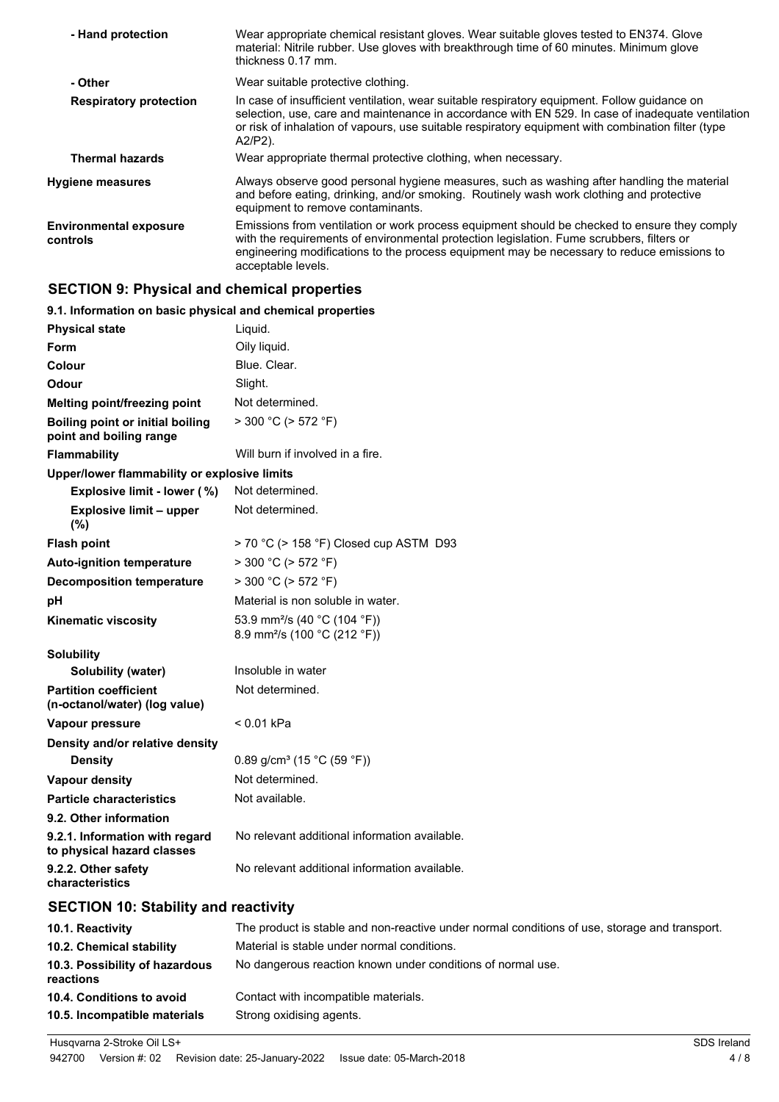| - Hand protection                         | Wear appropriate chemical resistant gloves. Wear suitable gloves tested to EN374. Glove<br>material: Nitrile rubber. Use gloves with breakthrough time of 60 minutes. Minimum glove<br>thickness 0.17 mm.                                                                                                             |
|-------------------------------------------|-----------------------------------------------------------------------------------------------------------------------------------------------------------------------------------------------------------------------------------------------------------------------------------------------------------------------|
| - Other                                   | Wear suitable protective clothing.                                                                                                                                                                                                                                                                                    |
| <b>Respiratory protection</b>             | In case of insufficient ventilation, wear suitable respiratory equipment. Follow quidance on<br>selection, use, care and maintenance in accordance with EN 529. In case of inadequate ventilation<br>or risk of inhalation of vapours, use suitable respiratory equipment with combination filter (type<br>$A2/P2$ ). |
| <b>Thermal hazards</b>                    | Wear appropriate thermal protective clothing, when necessary.                                                                                                                                                                                                                                                         |
| <b>Hygiene measures</b>                   | Always observe good personal hygiene measures, such as washing after handling the material<br>and before eating, drinking, and/or smoking. Routinely wash work clothing and protective<br>equipment to remove contaminants.                                                                                           |
| <b>Environmental exposure</b><br>controls | Emissions from ventilation or work process equipment should be checked to ensure they comply<br>with the requirements of environmental protection legislation. Fume scrubbers, filters or<br>engineering modifications to the process equipment may be necessary to reduce emissions to<br>acceptable levels.         |

## **SECTION 9: Physical and chemical properties**

| 9.1. Information on basic physical and chemical properties         |                                                                                      |
|--------------------------------------------------------------------|--------------------------------------------------------------------------------------|
| <b>Physical state</b>                                              | Liquid.                                                                              |
| Form                                                               | Oily liquid.                                                                         |
| Colour                                                             | Blue, Clear.                                                                         |
| Odour                                                              | Slight.                                                                              |
| <b>Melting point/freezing point</b>                                | Not determined.                                                                      |
| <b>Boiling point or initial boiling</b><br>point and boiling range | $>$ 300 °C ( $>$ 572 °F)                                                             |
| <b>Flammability</b>                                                | Will burn if involved in a fire.                                                     |
| Upper/lower flammability or explosive limits                       |                                                                                      |
| Explosive limit - lower (%)                                        | Not determined.                                                                      |
| <b>Explosive limit - upper</b><br>$(\% )$                          | Not determined.                                                                      |
| <b>Flash point</b>                                                 | > 70 °C (> 158 °F) Closed cup ASTM D93                                               |
| <b>Auto-ignition temperature</b>                                   | $>$ 300 °C ( $>$ 572 °F)                                                             |
| <b>Decomposition temperature</b>                                   | $>$ 300 °C ( $>$ 572 °F)                                                             |
| рH                                                                 | Material is non soluble in water.                                                    |
| <b>Kinematic viscosity</b>                                         | 53.9 mm <sup>2</sup> /s (40 °C (104 °F))<br>8.9 mm <sup>2</sup> /s (100 °C (212 °F)) |
| <b>Solubility</b>                                                  |                                                                                      |
| Solubility (water)                                                 | Insoluble in water                                                                   |
| <b>Partition coefficient</b><br>(n-octanol/water) (log value)      | Not determined.                                                                      |
| Vapour pressure                                                    | < 0.01 kPa                                                                           |
| Density and/or relative density                                    |                                                                                      |
| <b>Density</b>                                                     | 0.89 g/cm <sup>3</sup> (15 °C (59 °F))                                               |
| <b>Vapour density</b>                                              | Not determined.                                                                      |
| <b>Particle characteristics</b>                                    | Not available.                                                                       |
| 9.2. Other information                                             |                                                                                      |
| 9.2.1. Information with regard<br>to physical hazard classes       | No relevant additional information available.                                        |
| 9.2.2. Other safety<br>characteristics                             | No relevant additional information available.                                        |

## **SECTION 10: Stability and reactivity**

| 10.1. Reactivity                            | The product is stable and non-reactive under normal conditions of use, storage and transport. |
|---------------------------------------------|-----------------------------------------------------------------------------------------------|
| 10.2. Chemical stability                    | Material is stable under normal conditions.                                                   |
| 10.3. Possibility of hazardous<br>reactions | No dangerous reaction known under conditions of normal use.                                   |
| 10.4. Conditions to avoid                   | Contact with incompatible materials.                                                          |
| 10.5. Incompatible materials                | Strong oxidising agents.                                                                      |

Husqvarna 2-Stroke Oil LS+ SDS Ireland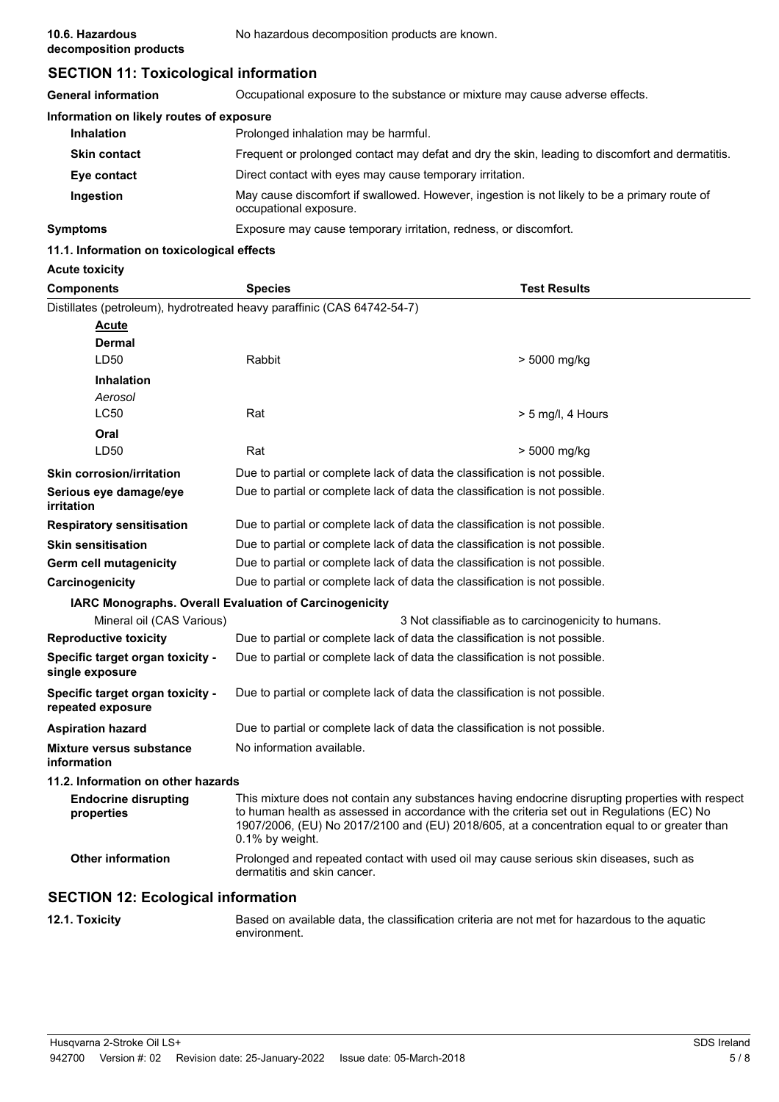## **SECTION 11: Toxicological information**

| <b>General information</b>               | Occupational exposure to the substance or mixture may cause adverse effects.                                           |
|------------------------------------------|------------------------------------------------------------------------------------------------------------------------|
| Information on likely routes of exposure |                                                                                                                        |
| <b>Inhalation</b>                        | Prolonged inhalation may be harmful.                                                                                   |
| <b>Skin contact</b>                      | Frequent or prolonged contact may defat and dry the skin, leading to discomfort and dermatitis.                        |
| Eye contact                              | Direct contact with eyes may cause temporary irritation.                                                               |
| Ingestion                                | May cause discomfort if swallowed. However, ingestion is not likely to be a primary route of<br>occupational exposure. |
| <b>Symptoms</b>                          | Exposure may cause temporary irritation, redness, or discomfort.                                                       |

## **11.1. Information on toxicological effects**

| <b>Acute toxicity</b>                                  |                                                                                                                                                                                                                                                                                                                  |                                                     |
|--------------------------------------------------------|------------------------------------------------------------------------------------------------------------------------------------------------------------------------------------------------------------------------------------------------------------------------------------------------------------------|-----------------------------------------------------|
| <b>Components</b>                                      | <b>Species</b>                                                                                                                                                                                                                                                                                                   | <b>Test Results</b>                                 |
|                                                        | Distillates (petroleum), hydrotreated heavy paraffinic (CAS 64742-54-7)                                                                                                                                                                                                                                          |                                                     |
| Acute                                                  |                                                                                                                                                                                                                                                                                                                  |                                                     |
| <b>Dermal</b>                                          |                                                                                                                                                                                                                                                                                                                  |                                                     |
| LD50                                                   | Rabbit                                                                                                                                                                                                                                                                                                           | > 5000 mg/kg                                        |
| <b>Inhalation</b>                                      |                                                                                                                                                                                                                                                                                                                  |                                                     |
| Aerosol<br><b>LC50</b>                                 |                                                                                                                                                                                                                                                                                                                  |                                                     |
|                                                        | Rat                                                                                                                                                                                                                                                                                                              | $>$ 5 mg/l, 4 Hours                                 |
| Oral<br>LD50                                           | Rat                                                                                                                                                                                                                                                                                                              | > 5000 mg/kg                                        |
|                                                        |                                                                                                                                                                                                                                                                                                                  |                                                     |
| <b>Skin corrosion/irritation</b>                       | Due to partial or complete lack of data the classification is not possible.                                                                                                                                                                                                                                      |                                                     |
| Serious eye damage/eye<br>irritation                   | Due to partial or complete lack of data the classification is not possible.                                                                                                                                                                                                                                      |                                                     |
| <b>Respiratory sensitisation</b>                       | Due to partial or complete lack of data the classification is not possible.                                                                                                                                                                                                                                      |                                                     |
| <b>Skin sensitisation</b>                              | Due to partial or complete lack of data the classification is not possible.                                                                                                                                                                                                                                      |                                                     |
| Germ cell mutagenicity                                 | Due to partial or complete lack of data the classification is not possible.                                                                                                                                                                                                                                      |                                                     |
| Carcinogenicity                                        | Due to partial or complete lack of data the classification is not possible.                                                                                                                                                                                                                                      |                                                     |
| IARC Monographs. Overall Evaluation of Carcinogenicity |                                                                                                                                                                                                                                                                                                                  |                                                     |
| Mineral oil (CAS Various)                              |                                                                                                                                                                                                                                                                                                                  | 3 Not classifiable as to carcinogenicity to humans. |
| <b>Reproductive toxicity</b>                           | Due to partial or complete lack of data the classification is not possible.                                                                                                                                                                                                                                      |                                                     |
| Specific target organ toxicity -<br>single exposure    | Due to partial or complete lack of data the classification is not possible.                                                                                                                                                                                                                                      |                                                     |
| Specific target organ toxicity -<br>repeated exposure  | Due to partial or complete lack of data the classification is not possible.                                                                                                                                                                                                                                      |                                                     |
| <b>Aspiration hazard</b>                               | Due to partial or complete lack of data the classification is not possible.                                                                                                                                                                                                                                      |                                                     |
| <b>Mixture versus substance</b><br>information         | No information available.                                                                                                                                                                                                                                                                                        |                                                     |
| 11.2. Information on other hazards                     |                                                                                                                                                                                                                                                                                                                  |                                                     |
| <b>Endocrine disrupting</b><br>properties              | This mixture does not contain any substances having endocrine disrupting properties with respect<br>to human health as assessed in accordance with the criteria set out in Regulations (EC) No<br>1907/2006, (EU) No 2017/2100 and (EU) 2018/605, at a concentration equal to or greater than<br>0.1% by weight. |                                                     |
| <b>Other information</b>                               | Prolonged and repeated contact with used oil may cause serious skin diseases, such as<br>dermatitis and skin cancer.                                                                                                                                                                                             |                                                     |
| <b>SECTION 12: Ecological information</b>              |                                                                                                                                                                                                                                                                                                                  |                                                     |

**12.1. Toxicity** Based on available data, the classification criteria are not met for hazardous to the aquatic environment.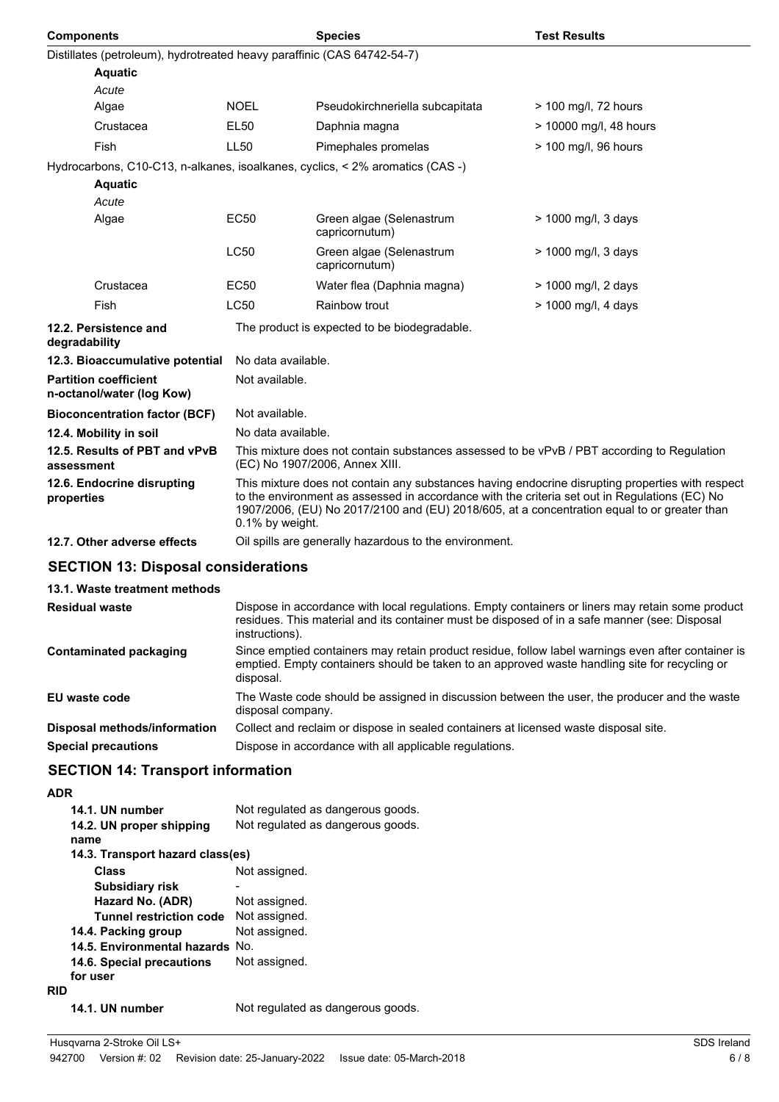| <b>Components</b>                                                             |                                                                                                                                                                                                                                                                                                                     | <b>Species</b>                                         | <b>Test Results</b>    |  |
|-------------------------------------------------------------------------------|---------------------------------------------------------------------------------------------------------------------------------------------------------------------------------------------------------------------------------------------------------------------------------------------------------------------|--------------------------------------------------------|------------------------|--|
| Distillates (petroleum), hydrotreated heavy paraffinic (CAS 64742-54-7)       |                                                                                                                                                                                                                                                                                                                     |                                                        |                        |  |
| <b>Aquatic</b>                                                                |                                                                                                                                                                                                                                                                                                                     |                                                        |                        |  |
| Acute                                                                         |                                                                                                                                                                                                                                                                                                                     |                                                        |                        |  |
| Algae                                                                         | <b>NOEL</b>                                                                                                                                                                                                                                                                                                         | Pseudokirchneriella subcapitata                        | > 100 mg/l, 72 hours   |  |
| Crustacea                                                                     | <b>EL50</b>                                                                                                                                                                                                                                                                                                         | Daphnia magna                                          | > 10000 mg/l, 48 hours |  |
| <b>Fish</b>                                                                   | <b>LL50</b>                                                                                                                                                                                                                                                                                                         | Pimephales promelas                                    | > 100 mg/l, 96 hours   |  |
| Hydrocarbons, C10-C13, n-alkanes, isoalkanes, cyclics, < 2% aromatics (CAS -) |                                                                                                                                                                                                                                                                                                                     |                                                        |                        |  |
| <b>Aquatic</b>                                                                |                                                                                                                                                                                                                                                                                                                     |                                                        |                        |  |
| Acute<br>Algae                                                                | <b>EC50</b>                                                                                                                                                                                                                                                                                                         | Green algae (Selenastrum<br>capricornutum)             | > 1000 mg/l, 3 days    |  |
|                                                                               | <b>LC50</b>                                                                                                                                                                                                                                                                                                         | Green algae (Selenastrum<br>capricornutum)             | > 1000 mg/l, 3 days    |  |
| Crustacea                                                                     | <b>EC50</b>                                                                                                                                                                                                                                                                                                         | Water flea (Daphnia magna)                             | > 1000 mg/l, 2 days    |  |
| <b>Fish</b>                                                                   | <b>LC50</b>                                                                                                                                                                                                                                                                                                         | Rainbow trout                                          | > 1000 mg/l, 4 days    |  |
| 12.2. Persistence and<br>degradability                                        |                                                                                                                                                                                                                                                                                                                     | The product is expected to be biodegradable.           |                        |  |
| 12.3. Bioaccumulative potential                                               | No data available.                                                                                                                                                                                                                                                                                                  |                                                        |                        |  |
| <b>Partition coefficient</b><br>n-octanol/water (log Kow)                     | Not available.                                                                                                                                                                                                                                                                                                      |                                                        |                        |  |
| <b>Bioconcentration factor (BCF)</b>                                          | Not available.                                                                                                                                                                                                                                                                                                      |                                                        |                        |  |
| 12.4. Mobility in soil                                                        |                                                                                                                                                                                                                                                                                                                     | No data available.                                     |                        |  |
| 12.5. Results of PBT and vPvB<br>assessment                                   | This mixture does not contain substances assessed to be vPvB / PBT according to Regulation<br>(EC) No 1907/2006, Annex XIII.                                                                                                                                                                                        |                                                        |                        |  |
| 12.6. Endocrine disrupting<br>properties                                      | This mixture does not contain any substances having endocrine disrupting properties with respect<br>to the environment as assessed in accordance with the criteria set out in Regulations (EC) No<br>1907/2006, (EU) No 2017/2100 and (EU) 2018/605, at a concentration equal to or greater than<br>0.1% by weight. |                                                        |                        |  |
| 12.7. Other adverse effects                                                   |                                                                                                                                                                                                                                                                                                                     | Oil spills are generally hazardous to the environment. |                        |  |
| <b>SECTION 13: Disposal considerations</b>                                    |                                                                                                                                                                                                                                                                                                                     |                                                        |                        |  |

### **13.1. Waste treatment methods**

| <b>Residual waste</b>        | Dispose in accordance with local regulations. Empty containers or liners may retain some product<br>residues. This material and its container must be disposed of in a safe manner (see: Disposal<br>instructions). |
|------------------------------|---------------------------------------------------------------------------------------------------------------------------------------------------------------------------------------------------------------------|
| Contaminated packaging       | Since emptied containers may retain product residue, follow label warnings even after container is<br>emptied. Empty containers should be taken to an approved waste handling site for recycling or<br>disposal.    |
| EU waste code                | The Waste code should be assigned in discussion between the user, the producer and the waste<br>disposal company.                                                                                                   |
| Disposal methods/information | Collect and reclaim or dispose in sealed containers at licensed waste disposal site.                                                                                                                                |
| <b>Special precautions</b>   | Dispose in accordance with all applicable regulations.                                                                                                                                                              |

## **SECTION 14: Transport information**

| ۰. |  |
|----|--|

|            | 14.1. UN number                  | Not regulated as dangerous goods. |  |
|------------|----------------------------------|-----------------------------------|--|
|            | 14.2. UN proper shipping         | Not regulated as dangerous goods. |  |
|            | name                             |                                   |  |
|            | 14.3. Transport hazard class(es) |                                   |  |
|            | <b>Class</b>                     | Not assigned.                     |  |
|            | <b>Subsidiary risk</b>           |                                   |  |
|            | Hazard No. (ADR)                 | Not assigned.                     |  |
|            | <b>Tunnel restriction code</b>   | Not assigned.                     |  |
|            | 14.4. Packing group              | Not assigned.                     |  |
|            | 14.5. Environmental hazards No.  |                                   |  |
|            | 14.6. Special precautions        | Not assigned.                     |  |
|            | for user                         |                                   |  |
| <b>RID</b> |                                  |                                   |  |
|            | <b>IIN numbor</b><br>4 A 4       | Not requieted as deparature apode |  |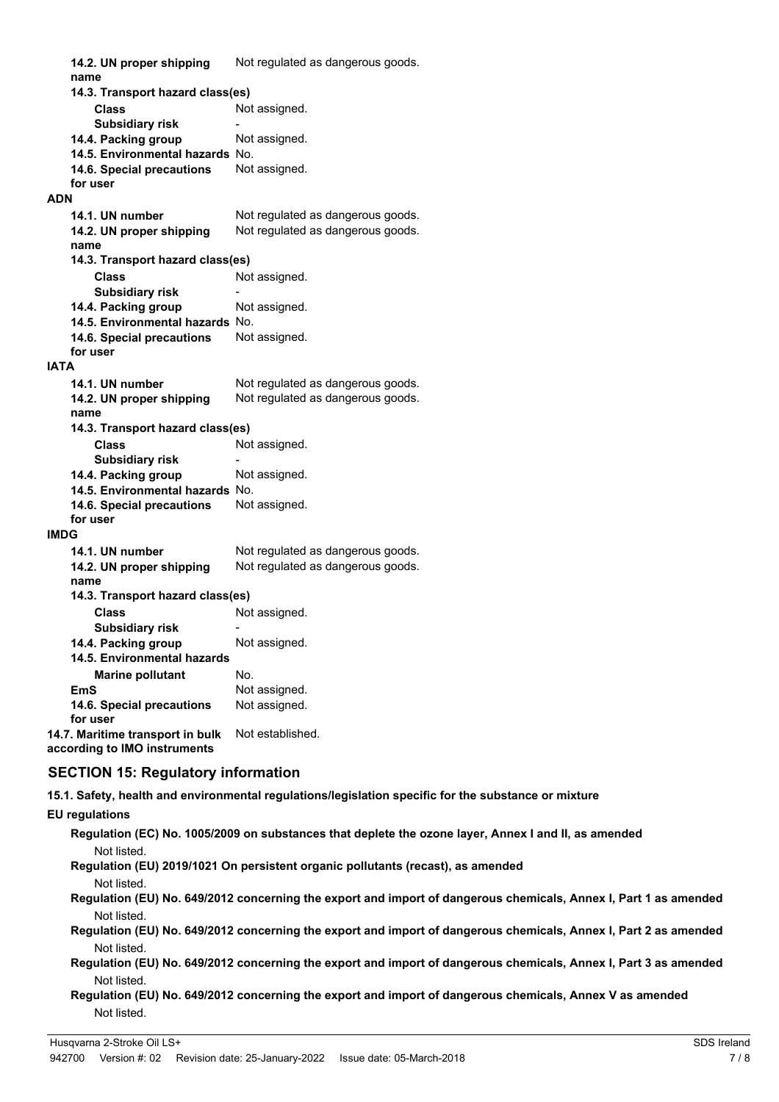| 14.2. UN proper shipping<br>name | Not regulated as dangerous goods. |  |  |
|----------------------------------|-----------------------------------|--|--|
|                                  | 14.3. Transport hazard class(es)  |  |  |
| Class                            | Not assigned.                     |  |  |
| <b>Subsidiary risk</b>           |                                   |  |  |
| 14.4. Packing group              | Not assigned.                     |  |  |
| 14.5. Environmental hazards No.  |                                   |  |  |
| 14.6. Special precautions        | Not assigned.                     |  |  |
| for user                         |                                   |  |  |
| <b>ADN</b>                       |                                   |  |  |
| 14.1. UN number                  | Not regulated as dangerous goods. |  |  |
| 14.2. UN proper shipping         | Not regulated as dangerous goods. |  |  |
| name                             |                                   |  |  |
| 14.3. Transport hazard class(es) |                                   |  |  |
| Class                            | Not assigned.                     |  |  |
| <b>Subsidiary risk</b>           |                                   |  |  |
| 14.4. Packing group              | Not assigned.                     |  |  |
| 14.5. Environmental hazards No.  |                                   |  |  |
| 14.6. Special precautions        | Not assigned.                     |  |  |
| for user                         |                                   |  |  |
| <b>IATA</b>                      |                                   |  |  |
| 14.1. UN number                  | Not regulated as dangerous goods. |  |  |
| 14.2. UN proper shipping         | Not regulated as dangerous goods. |  |  |
| name                             |                                   |  |  |
| 14.3. Transport hazard class(es) |                                   |  |  |
| Class                            | Not assigned.                     |  |  |
| <b>Subsidiary risk</b>           |                                   |  |  |
| 14.4. Packing group              | Not assigned.                     |  |  |
| 14.5. Environmental hazards No.  |                                   |  |  |
| 14.6. Special precautions        | Not assigned.                     |  |  |
| for user                         |                                   |  |  |
| <b>IMDG</b>                      |                                   |  |  |
| 14.1. UN number                  | Not regulated as dangerous goods. |  |  |
| 14.2. UN proper shipping         | Not regulated as dangerous goods. |  |  |
| name                             |                                   |  |  |
| 14.3. Transport hazard class(es) |                                   |  |  |
| Class                            | Not assigned.                     |  |  |
| <b>Subsidiary risk</b>           |                                   |  |  |
| 14.4. Packing group              | Not assigned.                     |  |  |
| 14.5. Environmental hazards      |                                   |  |  |
| <b>Marine pollutant</b>          | No.                               |  |  |
| EmS                              | Not assigned.                     |  |  |
| 14.6. Special precautions        | Not assigned.                     |  |  |
| for user                         |                                   |  |  |
| 14.7. Maritime transport in bulk | Not established.                  |  |  |
| according to IMO instruments     |                                   |  |  |

### **SECTION 15: Regulatory information**

**15.1. Safety, health and environmental regulations/legislation specific for the substance or mixture**

### **EU regulations**

- **Regulation (EC) No. 1005/2009 on substances that deplete the ozone layer, Annex I and II, as amended** Not listed.
- **Regulation (EU) 2019/1021 On persistent organic pollutants (recast), as amended**
	- Not listed.
- **Regulation (EU) No. 649/2012 concerning the export and import of dangerous chemicals, Annex I, Part 1 as amended** Not listed.
- **Regulation (EU) No. 649/2012 concerning the export and import of dangerous chemicals, Annex I, Part 2 as amended** Not listed.
- **Regulation (EU) No. 649/2012 concerning the export and import of dangerous chemicals, Annex I, Part 3 as amended** Not listed.
- **Regulation (EU) No. 649/2012 concerning the export and import of dangerous chemicals, Annex V as amended** Not listed.